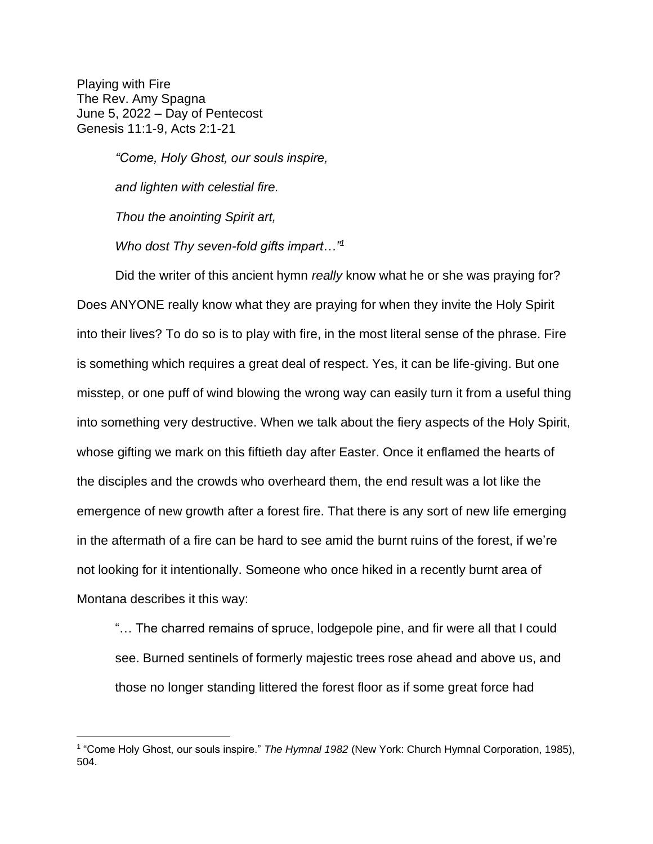Playing with Fire The Rev. Amy Spagna June 5, 2022 – Day of Pentecost Genesis 11:1-9, Acts 2:1-21

> *"Come, Holy Ghost, our souls inspire, and lighten with celestial fire. Thou the anointing Spirit art, Who dost Thy seven-fold gifts impart…"<sup>1</sup>*

Did the writer of this ancient hymn *really* know what he or she was praying for? Does ANYONE really know what they are praying for when they invite the Holy Spirit into their lives? To do so is to play with fire, in the most literal sense of the phrase. Fire is something which requires a great deal of respect. Yes, it can be life-giving. But one misstep, or one puff of wind blowing the wrong way can easily turn it from a useful thing into something very destructive. When we talk about the fiery aspects of the Holy Spirit, whose gifting we mark on this fiftieth day after Easter. Once it enflamed the hearts of the disciples and the crowds who overheard them, the end result was a lot like the emergence of new growth after a forest fire. That there is any sort of new life emerging in the aftermath of a fire can be hard to see amid the burnt ruins of the forest, if we're not looking for it intentionally. Someone who once hiked in a recently burnt area of Montana describes it this way:

"… The charred remains of spruce, lodgepole pine, and fir were all that I could see. Burned sentinels of formerly majestic trees rose ahead and above us, and those no longer standing littered the forest floor as if some great force had

<sup>&</sup>lt;sup>1</sup> "Come Holy Ghost, our souls inspire." *The Hymnal 1982* (New York: Church Hymnal Corporation, 1985), 504.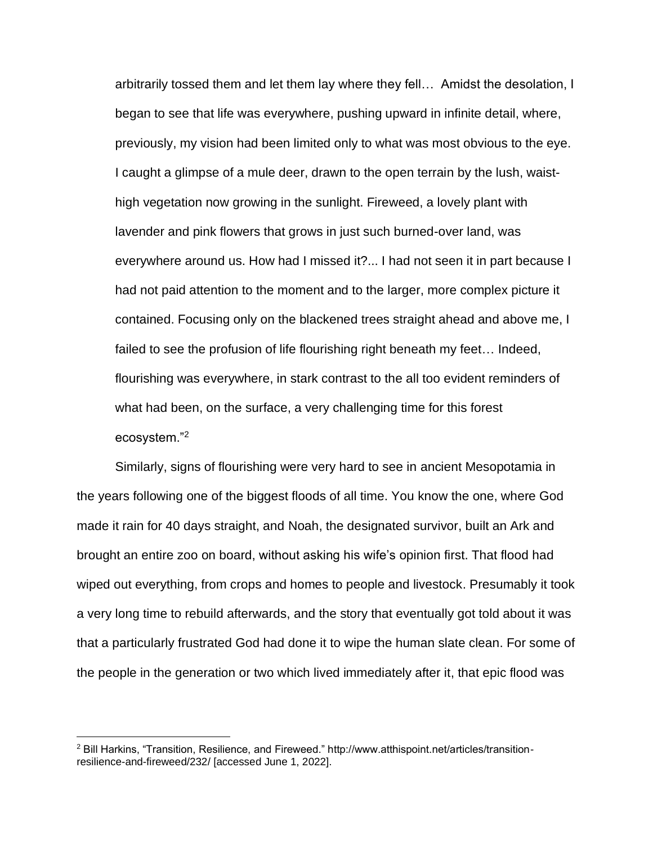arbitrarily tossed them and let them lay where they fell… Amidst the desolation, I began to see that life was everywhere, pushing upward in infinite detail, where, previously, my vision had been limited only to what was most obvious to the eye. I caught a glimpse of a mule deer, drawn to the open terrain by the lush, waisthigh vegetation now growing in the sunlight. Fireweed, a lovely plant with lavender and pink flowers that grows in just such burned-over land, was everywhere around us. How had I missed it?... I had not seen it in part because I had not paid attention to the moment and to the larger, more complex picture it contained. Focusing only on the blackened trees straight ahead and above me, I failed to see the profusion of life flourishing right beneath my feet… Indeed, flourishing was everywhere, in stark contrast to the all too evident reminders of what had been, on the surface, a very challenging time for this forest ecosystem."<sup>2</sup>

Similarly, signs of flourishing were very hard to see in ancient Mesopotamia in the years following one of the biggest floods of all time. You know the one, where God made it rain for 40 days straight, and Noah, the designated survivor, built an Ark and brought an entire zoo on board, without asking his wife's opinion first. That flood had wiped out everything, from crops and homes to people and livestock. Presumably it took a very long time to rebuild afterwards, and the story that eventually got told about it was that a particularly frustrated God had done it to wipe the human slate clean. For some of the people in the generation or two which lived immediately after it, that epic flood was

<sup>2</sup> Bill Harkins, "Transition, Resilience, and Fireweed." http://www.atthispoint.net/articles/transitionresilience-and-fireweed/232/ [accessed June 1, 2022].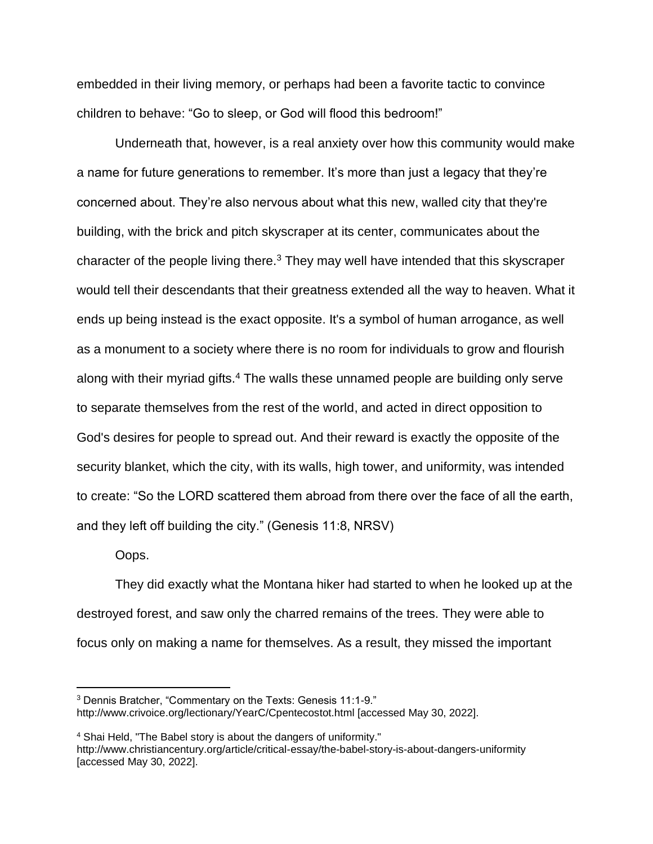embedded in their living memory, or perhaps had been a favorite tactic to convince children to behave: "Go to sleep, or God will flood this bedroom!"

Underneath that, however, is a real anxiety over how this community would make a name for future generations to remember. It's more than just a legacy that they're concerned about. They're also nervous about what this new, walled city that they're building, with the brick and pitch skyscraper at its center, communicates about the character of the people living there. $3$  They may well have intended that this skyscraper would tell their descendants that their greatness extended all the way to heaven. What it ends up being instead is the exact opposite. It's a symbol of human arrogance, as well as a monument to a society where there is no room for individuals to grow and flourish along with their myriad gifts.<sup>4</sup> The walls these unnamed people are building only serve to separate themselves from the rest of the world, and acted in direct opposition to God's desires for people to spread out. And their reward is exactly the opposite of the security blanket, which the city, with its walls, high tower, and uniformity, was intended to create: "So the LORD scattered them abroad from there over the face of all the earth, and they left off building the city." (Genesis 11:8, NRSV)

Oops.

They did exactly what the Montana hiker had started to when he looked up at the destroyed forest, and saw only the charred remains of the trees. They were able to focus only on making a name for themselves. As a result, they missed the important

<sup>3</sup> Dennis Bratcher, "Commentary on the Texts: Genesis 11:1-9." http://www.crivoice.org/lectionary/YearC/Cpentecostot.html [accessed May 30, 2022].

<sup>4</sup> Shai Held, "The Babel story is about the dangers of uniformity." http://www.christiancentury.org/article/critical-essay/the-babel-story-is-about-dangers-uniformity [accessed May 30, 2022].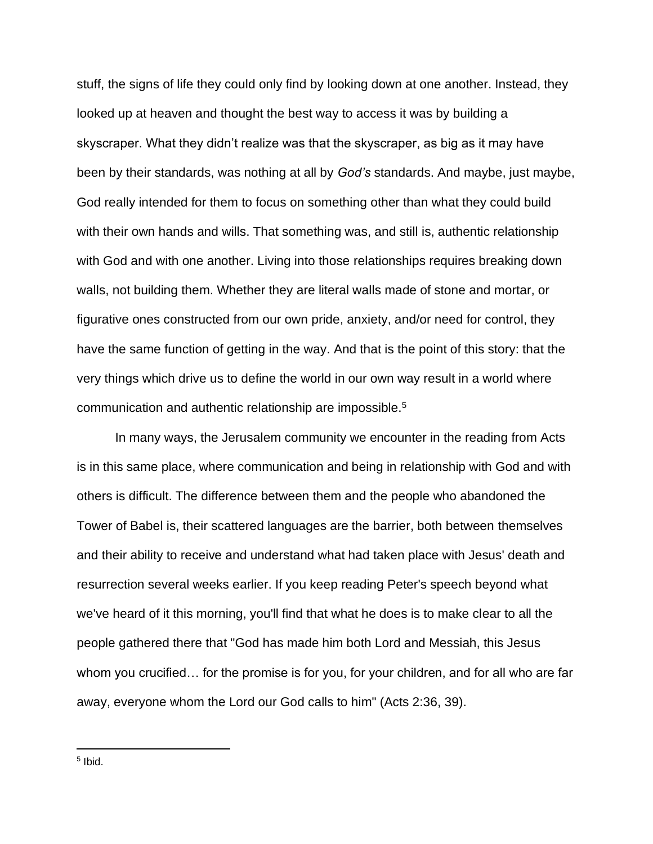stuff, the signs of life they could only find by looking down at one another. Instead, they looked up at heaven and thought the best way to access it was by building a skyscraper. What they didn't realize was that the skyscraper, as big as it may have been by their standards, was nothing at all by *God's* standards. And maybe, just maybe, God really intended for them to focus on something other than what they could build with their own hands and wills. That something was, and still is, authentic relationship with God and with one another. Living into those relationships requires breaking down walls, not building them. Whether they are literal walls made of stone and mortar, or figurative ones constructed from our own pride, anxiety, and/or need for control, they have the same function of getting in the way. And that is the point of this story: that the very things which drive us to define the world in our own way result in a world where communication and authentic relationship are impossible.<sup>5</sup>

In many ways, the Jerusalem community we encounter in the reading from Acts is in this same place, where communication and being in relationship with God and with others is difficult. The difference between them and the people who abandoned the Tower of Babel is, their scattered languages are the barrier, both between themselves and their ability to receive and understand what had taken place with Jesus' death and resurrection several weeks earlier. If you keep reading Peter's speech beyond what we've heard of it this morning, you'll find that what he does is to make clear to all the people gathered there that "God has made him both Lord and Messiah, this Jesus whom you crucified… for the promise is for you, for your children, and for all who are far away, everyone whom the Lord our God calls to him" (Acts 2:36, 39).

5 Ibid.